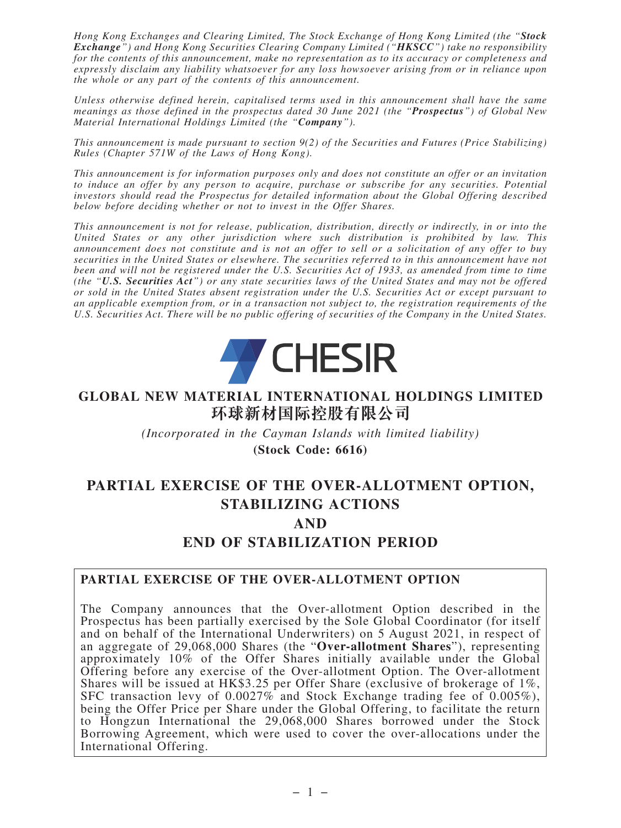*Hong Kong Exchanges and Clearing Limited, The Stock Exchange of Hong Kong Limited (the "Stock Exchange") and Hong Kong Securities Clearing Company Limited ("HKSCC") take no responsibility for the contents of this announcement, make no representation as to its accuracy or completeness and expressly disclaim any liability whatsoever for any loss howsoever arising from or in reliance upon the whole or any part of the contents of this announcement.*

*Unless otherwise defined herein, capitalised terms used in this announcement shall have the same meanings as those defined in the prospectus dated 30 June 2021 (the "Prospectus") of Global New Material International Holdings Limited (the "Company").*

*This announcement is made pursuant to section 9(2) of the Securities and Futures (Price Stabilizing) Rules (Chapter 571W of the Laws of Hong Kong).*

*This announcement is for information purposes only and does not constitute an offer or an invitation to induce an offer by any person to acquire, purchase or subscribe for any securities. Potential investors should read the Prospectus for detailed information about the Global Offering described below before deciding whether or not to invest in the Offer Shares.*

*This announcement is not for release, publication, distribution, directly or indirectly, in or into the United States or any other jurisdiction where such distribution is prohibited by law. This announcement does not constitute and is not an offer to sell or a solicitation of any offer to buy securities in the United States or elsewhere. The securities referred to in this announcement have not been and will not be registered under the U.S. Securities Act of 1933, as amended from time to time (the "U.S. Securities Act") or any state securities laws of the United States and may not be offered or sold in the United States absent registration under the U.S. Securities Act or except pursuant to an applicable exemption from, or in a transaction not subject to, the registration requirements of the U.S. Securities Act. There will be no public offering of securities of the Company in the United States.*



#### **GLOBAL NEW MATERIAL INTERNATIONAL HOLDINGS LIMITED 環球新材國際控股有限公司**

*(Incorporated in the Cayman Islands with limited liability)*

**(Stock Code: 6616)**

# **PARTIAL EXERCISE OF THE OVER-ALLOTMENT OPTION, STABILIZING ACTIONS**

**AND**

**END OF STABILIZATION PERIOD**

#### **PARTIAL EXERCISE OF THE OVER-ALLOTMENT OPTION**

The Company announces that the Over-allotment Option described in the Prospectus has been partially exercised by the Sole Global Coordinator (for itself and on behalf of the International Underwriters) on 5 August 2021, in respect of an aggregate of 29,068,000 Shares (the "**Over-allotment Shares**"), representing approximately 10% of the Offer Shares initially available under the Global Offering before any exercise of the Over-allotment Option. The Over-allotment Shares will be issued at HK\$3.25 per Offer Share (exclusive of brokerage of 1%, SFC transaction levy of 0.0027% and Stock Exchange trading fee of 0.005%), being the Offer Price per Share under the Global Offering, to facilitate the return to Hongzun International the 29,068,000 Shares borrowed under the Stock Borrowing Agreement, which were used to cover the over-allocations under the International Offering.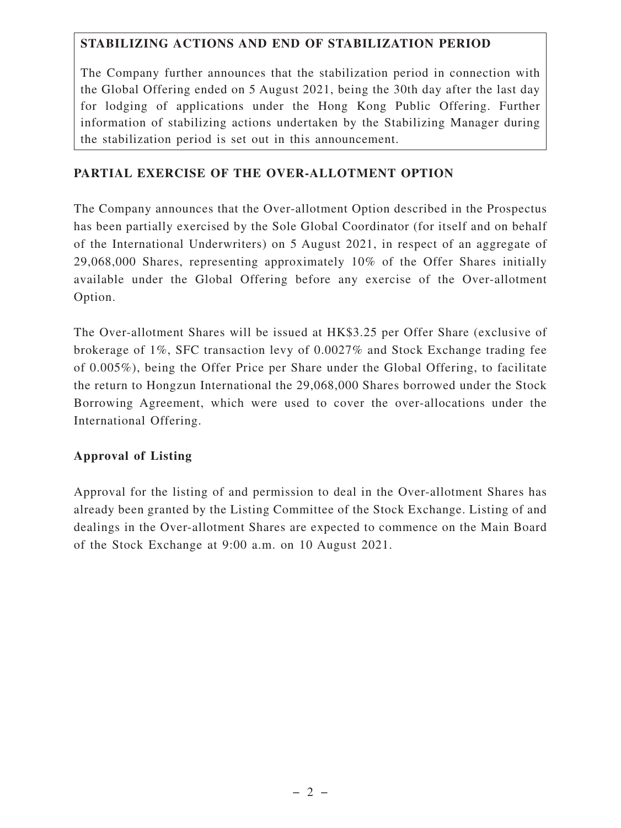### **STABILIZING ACTIONS AND END OF STABILIZATION PERIOD**

The Company further announces that the stabilization period in connection with the Global Offering ended on 5 August 2021, being the 30th day after the last day for lodging of applications under the Hong Kong Public Offering. Further information of stabilizing actions undertaken by the Stabilizing Manager during the stabilization period is set out in this announcement.

### **PARTIAL EXERCISE OF THE OVER-ALLOTMENT OPTION**

The Company announces that the Over-allotment Option described in the Prospectus has been partially exercised by the Sole Global Coordinator (for itself and on behalf of the International Underwriters) on 5 August 2021, in respect of an aggregate of 29,068,000 Shares, representing approximately 10% of the Offer Shares initially available under the Global Offering before any exercise of the Over-allotment Option.

The Over-allotment Shares will be issued at HK\$3.25 per Offer Share (exclusive of brokerage of 1%, SFC transaction levy of 0.0027% and Stock Exchange trading fee of 0.005%), being the Offer Price per Share under the Global Offering, to facilitate the return to Hongzun International the 29,068,000 Shares borrowed under the Stock Borrowing Agreement, which were used to cover the over-allocations under the International Offering.

#### **Approval of Listing**

Approval for the listing of and permission to deal in the Over-allotment Shares has already been granted by the Listing Committee of the Stock Exchange. Listing of and dealings in the Over-allotment Shares are expected to commence on the Main Board of the Stock Exchange at 9:00 a.m. on 10 August 2021.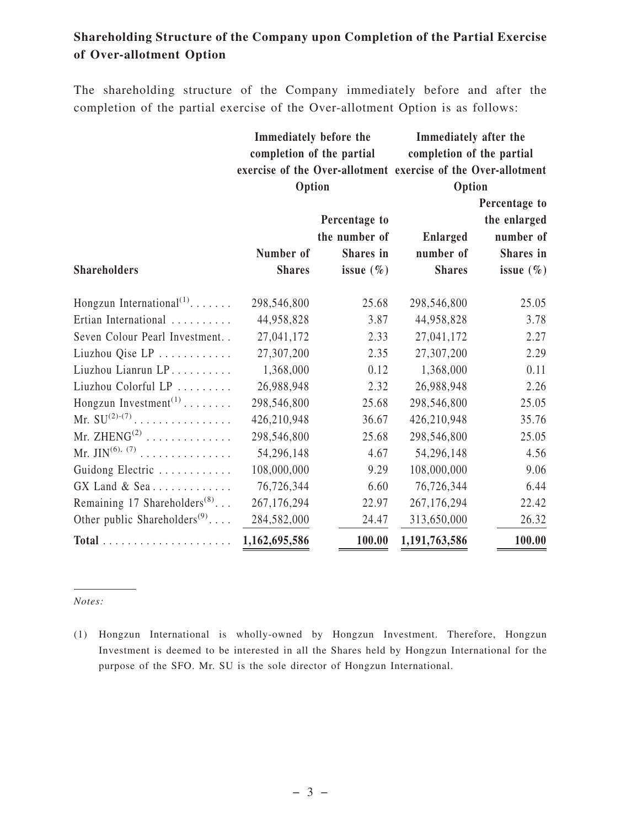## **Shareholding Structure of the Company upon Completion of the Partial Exercise of Over-allotment Option**

The shareholding structure of the Company immediately before and after the completion of the partial exercise of the Over-allotment Option is as follows:

| Immediately before the                                        | Immediately after the     |  |  |
|---------------------------------------------------------------|---------------------------|--|--|
| completion of the partial                                     | completion of the partial |  |  |
| exercise of the Over-allotment exercise of the Over-allotment |                           |  |  |
| Option                                                        | Option                    |  |  |

|                                          |               |               | Percentage to   |               |
|------------------------------------------|---------------|---------------|-----------------|---------------|
|                                          |               | Percentage to |                 | the enlarged  |
|                                          |               | the number of | <b>Enlarged</b> | number of     |
|                                          | Number of     | Shares in     | number of       | Shares in     |
| <b>Shareholders</b>                      | <b>Shares</b> | issue $(\% )$ | <b>Shares</b>   | issue $(\% )$ |
| Hongzun International <sup>(1)</sup>     | 298,546,800   | 25.68         | 298,546,800     | 25.05         |
| Ertian International                     | 44,958,828    | 3.87          | 44,958,828      | 3.78          |
| Seven Colour Pearl Investment            | 27,041,172    | 2.33          | 27,041,172      | 2.27          |
| Liuzhou Qise LP                          | 27,307,200    | 2.35          | 27,307,200      | 2.29          |
| Liuzhou Lianrun LP                       | 1,368,000     | 0.12          | 1,368,000       | 0.11          |
| Liuzhou Colorful LP                      | 26,988,948    | 2.32          | 26,988,948      | 2.26          |
| Hongzun Investment <sup>(1)</sup>        | 298,546,800   | 25.68         | 298,546,800     | 25.05         |
| Mr. $SU^{(2)-(7)}$                       | 426,210,948   | 36.67         | 426,210,948     | 35.76         |
| Mr. $ZHENG^{(2)}$                        | 298,546,800   | 25.68         | 298,546,800     | 25.05         |
| Mr. JIN <sup>(6), (7)</sup>              | 54,296,148    | 4.67          | 54,296,148      | 4.56          |
| Guidong Electric                         | 108,000,000   | 9.29          | 108,000,000     | 9.06          |
| GX Land & Sea                            | 76,726,344    | 6.60          | 76,726,344      | 6.44          |
| Remaining 17 Shareholders <sup>(8)</sup> | 267,176,294   | 22.97         | 267,176,294     | 22.42         |
| Other public Shareholders <sup>(9)</sup> | 284,582,000   | 24.47         | 313,650,000     | 26.32         |
|                                          | 1,162,695,586 | 100.00        | 1,191,763,586   | 100.00        |

*Notes:*

<sup>(1)</sup> Hongzun International is wholly-owned by Hongzun Investment. Therefore, Hongzun Investment is deemed to be interested in all the Shares held by Hongzun International for the purpose of the SFO. Mr. SU is the sole director of Hongzun International.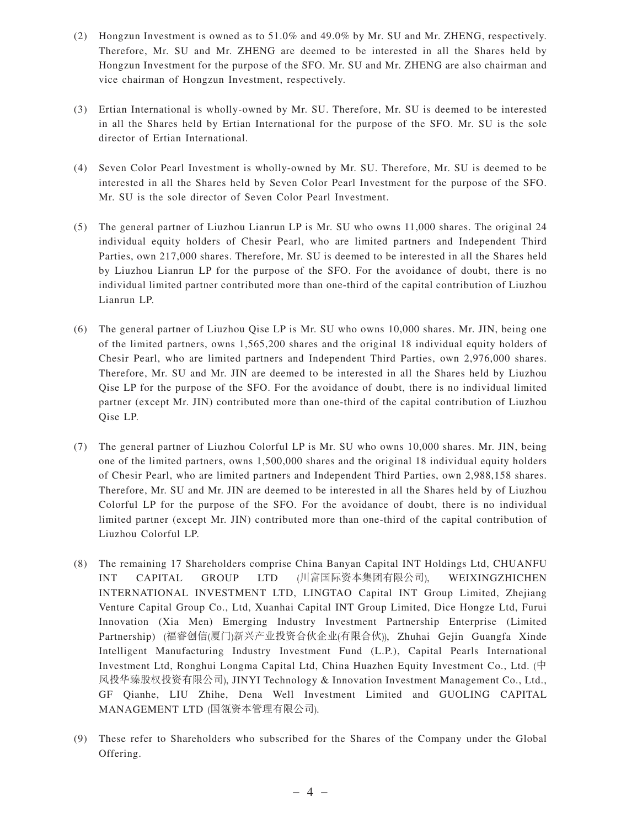- (2) Hongzun Investment is owned as to 51.0% and 49.0% by Mr. SU and Mr. ZHENG, respectively. Therefore, Mr. SU and Mr. ZHENG are deemed to be interested in all the Shares held by Hongzun Investment for the purpose of the SFO. Mr. SU and Mr. ZHENG are also chairman and vice chairman of Hongzun Investment, respectively.
- (3) Ertian International is wholly-owned by Mr. SU. Therefore, Mr. SU is deemed to be interested in all the Shares held by Ertian International for the purpose of the SFO. Mr. SU is the sole director of Ertian International.
- (4) Seven Color Pearl Investment is wholly-owned by Mr. SU. Therefore, Mr. SU is deemed to be interested in all the Shares held by Seven Color Pearl Investment for the purpose of the SFO. Mr. SU is the sole director of Seven Color Pearl Investment.
- (5) The general partner of Liuzhou Lianrun LP is Mr. SU who owns 11,000 shares. The original 24 individual equity holders of Chesir Pearl, who are limited partners and Independent Third Parties, own 217,000 shares. Therefore, Mr. SU is deemed to be interested in all the Shares held by Liuzhou Lianrun LP for the purpose of the SFO. For the avoidance of doubt, there is no individual limited partner contributed more than one-third of the capital contribution of Liuzhou Lianrun LP.
- (6) The general partner of Liuzhou Qise LP is Mr. SU who owns 10,000 shares. Mr. JIN, being one of the limited partners, owns 1,565,200 shares and the original 18 individual equity holders of Chesir Pearl, who are limited partners and Independent Third Parties, own 2,976,000 shares. Therefore, Mr. SU and Mr. JIN are deemed to be interested in all the Shares held by Liuzhou Qise LP for the purpose of the SFO. For the avoidance of doubt, there is no individual limited partner (except Mr. JIN) contributed more than one-third of the capital contribution of Liuzhou Qise LP.
- (7) The general partner of Liuzhou Colorful LP is Mr. SU who owns 10,000 shares. Mr. JIN, being one of the limited partners, owns 1,500,000 shares and the original 18 individual equity holders of Chesir Pearl, who are limited partners and Independent Third Parties, own 2,988,158 shares. Therefore, Mr. SU and Mr. JIN are deemed to be interested in all the Shares held by of Liuzhou Colorful LP for the purpose of the SFO. For the avoidance of doubt, there is no individual limited partner (except Mr. JIN) contributed more than one-third of the capital contribution of Liuzhou Colorful LP.
- (8) The remaining 17 Shareholders comprise China Banyan Capital INT Holdings Ltd, CHUANFU INT CAPITAL GROUP LTD (川富國際資本集團有限公司), WEIXINGZHICHEN INTERNATIONAL INVESTMENT LTD, LINGTAO Capital INT Group Limited, Zhejiang Venture Capital Group Co., Ltd, Xuanhai Capital INT Group Limited, Dice Hongze Ltd, Furui Innovation (Xia Men) Emerging Industry Investment Partnership Enterprise (Limited Partnership) (福睿创信(厦门)新兴产业投资合伙企业(有限合伙)), Zhuhai Gejin Guangfa Xinde Intelligent Manufacturing Industry Investment Fund (L.P.), Capital Pearls International Investment Ltd, Ronghui Longma Capital Ltd, China Huazhen Equity Investment Co., Ltd. (中 風投華臻股權投資有限公司), JINYI Technology & Innovation Investment Management Co., Ltd., GF Qianhe, LIU Zhihe, Dena Well Investment Limited and GUOLING CAPITAL MANAGEMENT LTD (國瓴資本管理有限公司).
- (9) These refer to Shareholders who subscribed for the Shares of the Company under the Global Offering.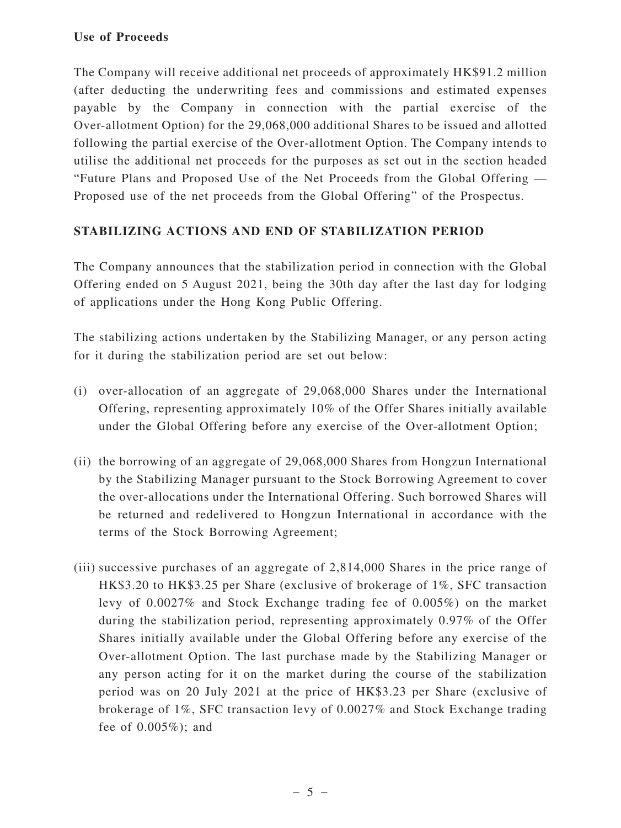#### **Use of Proceeds**

The Company will receive additional net proceeds of approximately HK\$91.2 million (after deducting the underwriting fees and commissions and estimated expenses payable by the Company in connection with the partial exercise of the Over-allotment Option) for the 29,068,000 additional Shares to be issued and allotted following the partial exercise of the Over-allotment Option. The Company intends to utilise the additional net proceeds for the purposes as set out in the section headed "Future Plans and Proposed Use of the Net Proceeds from the Global Offering — Proposed use of the net proceeds from the Global Offering" of the Prospectus.

#### **STABILIZING ACTIONS AND END OF STABILIZATION PERIOD**

The Company announces that the stabilization period in connection with the Global Offering ended on 5 August 2021, being the 30th day after the last day for lodging of applications under the Hong Kong Public Offering.

The stabilizing actions undertaken by the Stabilizing Manager, or any person acting for it during the stabilization period are set out below:

- (i) over-allocation of an aggregate of 29,068,000 Shares under the International Offering, representing approximately 10% of the Offer Shares initially available under the Global Offering before any exercise of the Over-allotment Option;
- (ii) the borrowing of an aggregate of 29,068,000 Shares from Hongzun International by the Stabilizing Manager pursuant to the Stock Borrowing Agreement to cover the over-allocations under the International Offering. Such borrowed Shares will be returned and redelivered to Hongzun International in accordance with the terms of the Stock Borrowing Agreement;
- (iii) successive purchases of an aggregate of 2,814,000 Shares in the price range of HK\$3.20 to HK\$3.25 per Share (exclusive of brokerage of 1%, SFC transaction levy of 0.0027% and Stock Exchange trading fee of 0.005%) on the market during the stabilization period, representing approximately 0.97% of the Offer Shares initially available under the Global Offering before any exercise of the Over-allotment Option. The last purchase made by the Stabilizing Manager or any person acting for it on the market during the course of the stabilization period was on 20 July 2021 at the price of HK\$3.23 per Share (exclusive of brokerage of 1%, SFC transaction levy of 0.0027% and Stock Exchange trading fee of 0.005%); and